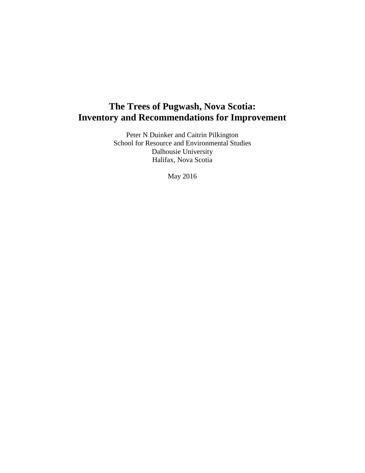# **The Trees of Pugwash, Nova Scotia: Inventory and Recommendations for Improvement**

Peter N Duinker and Caitrin Pilkington School for Resource and Environmental Studies Dalhousie University Halifax, Nova Scotia

May 2016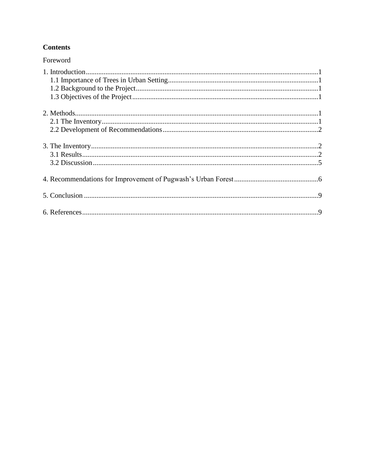# **Contents**

| Foreword |
|----------|
|          |
|          |
|          |
|          |
|          |
|          |
|          |
|          |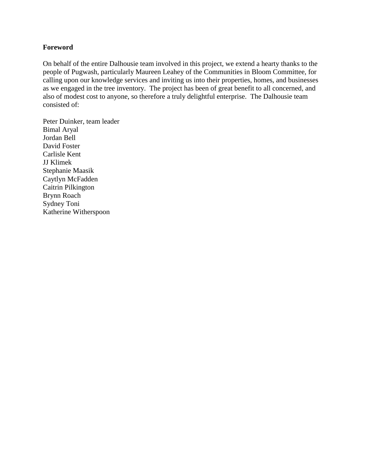#### **Foreword**

On behalf of the entire Dalhousie team involved in this project, we extend a hearty thanks to the people of Pugwash, particularly Maureen Leahey of the Communities in Bloom Committee, for calling upon our knowledge services and inviting us into their properties, homes, and businesses as we engaged in the tree inventory. The project has been of great benefit to all concerned, and also of modest cost to anyone, so therefore a truly delightful enterprise. The Dalhousie team consisted of:

Peter Duinker, team leader Bimal Aryal Jordan Bell David Foster Carlisle Kent JJ Klimek Stephanie Maasik Caytlyn McFadden Caitrin Pilkington Brynn Roach Sydney Toni Katherine Witherspoon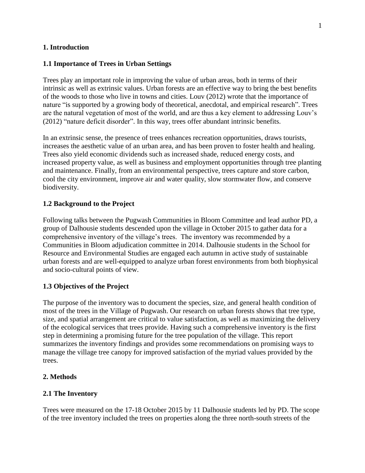#### **1. Introduction**

#### **1.1 Importance of Trees in Urban Settings**

Trees play an important role in improving the value of urban areas, both in terms of their intrinsic as well as extrinsic values. Urban forests are an effective way to bring the best benefits of the woods to those who live in towns and cities. Louv (2012) wrote that the importance of nature "is supported by a growing body of theoretical, anecdotal, and empirical research". Trees are the natural vegetation of most of the world, and are thus a key element to addressing Louv's (2012) "nature deficit disorder". In this way, trees offer abundant intrinsic benefits.

In an extrinsic sense, the presence of trees enhances recreation opportunities, draws tourists, increases the aesthetic value of an urban area, and has been proven to foster health and healing. Trees also yield economic dividends such as increased shade, reduced energy costs, and increased property value, as well as business and employment opportunities through tree planting and maintenance. Finally, from an environmental perspective, trees capture and store carbon, cool the city environment, improve air and water quality, slow stormwater flow, and conserve biodiversity.

#### **1.2 Background to the Project**

Following talks between the Pugwash Communities in Bloom Committee and lead author PD, a group of Dalhousie students descended upon the village in October 2015 to gather data for a comprehensive inventory of the village's trees. The inventory was recommended by a Communities in Bloom adjudication committee in 2014. Dalhousie students in the School for Resource and Environmental Studies are engaged each autumn in active study of sustainable urban forests and are well-equipped to analyze urban forest environments from both biophysical and socio-cultural points of view.

#### **1.3 Objectives of the Project**

The purpose of the inventory was to document the species, size, and general health condition of most of the trees in the Village of Pugwash. Our research on urban forests shows that tree type, size, and spatial arrangement are critical to value satisfaction, as well as maximizing the delivery of the ecological services that trees provide. Having such a comprehensive inventory is the first step in determining a promising future for the tree population of the village. This report summarizes the inventory findings and provides some recommendations on promising ways to manage the village tree canopy for improved satisfaction of the myriad values provided by the trees.

#### **2. Methods**

#### **2.1 The Inventory**

Trees were measured on the 17-18 October 2015 by 11 Dalhousie students led by PD. The scope of the tree inventory included the trees on properties along the three north-south streets of the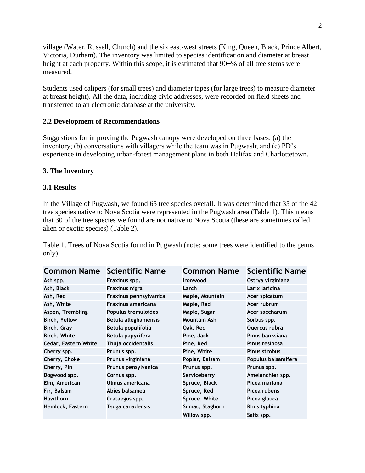village (Water, Russell, Church) and the six east-west streets (King, Queen, Black, Prince Albert, Victoria, Durham). The inventory was limited to species identification and diameter at breast height at each property. Within this scope, it is estimated that  $90+%$  of all tree stems were measured.

Students used calipers (for small trees) and diameter tapes (for large trees) to measure diameter at breast height). All the data, including civic addresses, were recorded on field sheets and transferred to an electronic database at the university.

#### **2.2 Development of Recommendations**

Suggestions for improving the Pugwash canopy were developed on three bases: (a) the inventory; (b) conversations with villagers while the team was in Pugwash; and (c) PD's experience in developing urban-forest management plans in both Halifax and Charlottetown.

#### **3. The Inventory**

#### **3.1 Results**

In the Village of Pugwash, we found 65 tree species overall. It was determined that 35 of the 42 tree species native to Nova Scotia were represented in the Pugwash area (Table 1). This means that 30 of the tree species we found are not native to Nova Scotia (these are sometimes called alien or exotic species) (Table 2).

Table 1. Trees of Nova Scotia found in Pugwash (note: some trees were identified to the genus only).

| <b>Common Name</b>   | <b>Scientific Name</b>    | <b>Common Name</b>  | <b>Scientific Name</b> |
|----------------------|---------------------------|---------------------|------------------------|
| Ash spp.             | Fraxinus spp.             | <b>Ironwood</b>     | Ostrya virginiana      |
| Ash, Black           | Fraxinus nigra            | Larch               | Larix laricina         |
| Ash, Red             | Fraxinus pennsylvanica    | Maple, Mountain     | Acer spicatum          |
| Ash, White           | <b>Fraxinus americana</b> | Maple, Red          | Acer rubrum            |
| Aspen, Trembling     | Populus tremuloides       | Maple, Sugar        | Acer saccharum         |
| Birch, Yellow        | Betula alleghaniensis     | <b>Mountain Ash</b> | Sorbus spp.            |
| Birch, Gray          | Betula populifolia        | Oak, Red            | Quercus rubra          |
| Birch, White         | Betula papyrifera         | Pine, Jack          | Pinus banksiana        |
| Cedar, Eastern White | Thuja occidentalis        | Pine, Red           | Pinus resinosa         |
| Cherry spp.          | Prunus spp.               | Pine, White         | Pinus strobus          |
| Cherry, Choke        | Prunus virginiana         | Poplar, Balsam      | Populus balsamifera    |
| Cherry, Pin          | Prunus pensylvanica       | Prunus spp.         | Prunus spp.            |
| Dogwood spp.         | Cornus spp.               | Serviceberry        | Amelanchier spp.       |
| Elm, American        | Ulmus americana           | Spruce, Black       | Picea mariana          |
| Fir, Balsam          | Abies balsamea            | Spruce, Red         | Picea rubens           |
| <b>Hawthorn</b>      | Crataegus spp.            | Spruce, White       | Picea glauca           |
| Hemlock, Eastern     | Tsuga canadensis          | Sumac, Staghorn     | Rhus typhina           |
|                      |                           | Willow spp.         | Salix spp.             |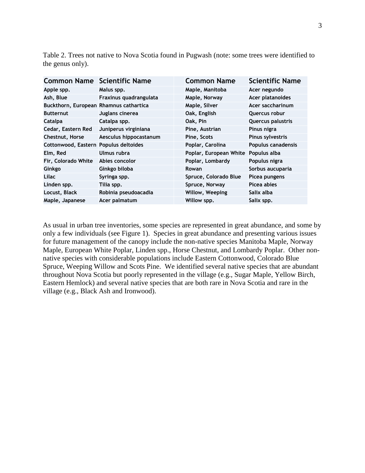Table 2. Trees not native to Nova Scotia found in Pugwash (note: some trees were identified to the genus only).

| <b>Common Name Scientific Name</b>     |                        | <b>Common Name</b>     | <b>Scientific Name</b>    |
|----------------------------------------|------------------------|------------------------|---------------------------|
| Apple spp.                             | Malus spp.             | Maple, Manitoba        | Acer negundo              |
| Ash, Blue                              | Fraxinus quadrangulata | Maple, Norway          | Acer platanoides          |
| Buckthorn, European Rhamnus cathartica |                        | Maple, Silver          | Acer saccharinum          |
| <b>Butternut</b>                       | Juglans cinerea        | Oak, English           | Quercus robur             |
| <b>Catalpa</b>                         | Catalpa spp.           | Oak, Pin               | Quercus palustris         |
| Cedar, Eastern Red                     | Juniperus virginiana   | Pine, Austrian         | Pinus nigra               |
| Chestnut, Horse                        | Aesculus hippocastanum | Pine, Scots            | Pinus sylvestris          |
| Cottonwood, Eastern Populus deltoides  |                        | Poplar, Carolina       | <b>Populus canadensis</b> |
| Elm, Red                               | Ulmus rubra            | Poplar, European White | Populus alba              |
| Fir, Colorado White                    | Abies concolor         | Poplar, Lombardy       | Populus nigra             |
| Ginkgo                                 | Ginkgo biloba          | <b>Rowan</b>           | Sorbus aucuparia          |
| Lilac                                  | Syringa spp.           | Spruce, Colorado Blue  | Picea pungens             |
| Linden spp.                            | Tilia spp.             | Spruce, Norway         | Picea abies               |
| Locust, Black                          | Robinia pseudoacadia   | Willow, Weeping        | Salix alba                |
| Maple, Japanese                        | Acer palmatum          | Willow spp.            | Salix spp.                |

As usual in urban tree inventories, some species are represented in great abundance, and some by only a few individuals (see Figure 1). Species in great abundance and presenting various issues for future management of the canopy include the non-native species Manitoba Maple, Norway Maple, European White Poplar, Linden spp., Horse Chestnut, and Lombardy Poplar. Other nonnative species with considerable populations include Eastern Cottonwood, Colorado Blue Spruce, Weeping Willow and Scots Pine. We identified several native species that are abundant throughout Nova Scotia but poorly represented in the village (e.g., Sugar Maple, Yellow Birch, Eastern Hemlock) and several native species that are both rare in Nova Scotia and rare in the village (e.g., Black Ash and Ironwood).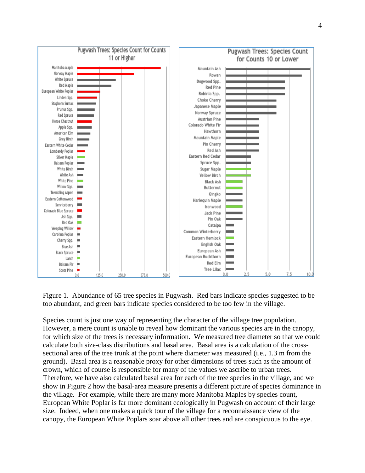

Figure 1. Abundance of 65 tree species in Pugwash. Red bars indicate species suggested to be too abundant, and green bars indicate species considered to be too few in the village.

Species count is just one way of representing the character of the village tree population. However, a mere count is unable to reveal how dominant the various species are in the canopy, for which size of the trees is necessary information. We measured tree diameter so that we could calculate both size-class distributions and basal area. Basal area is a calculation of the crosssectional area of the tree trunk at the point where diameter was measured (i.e., 1.3 m from the ground). Basal area is a reasonable proxy for other dimensions of trees such as the amount of crown, which of course is responsible for many of the values we ascribe to urban trees. Therefore, we have also calculated basal area for each of the tree species in the village, and we show in Figure 2 how the basal-area measure presents a different picture of species dominance in the village. For example, while there are many more Manitoba Maples by species count, European White Poplar is far more dominant ecologically in Pugwash on account of their large size. Indeed, when one makes a quick tour of the village for a reconnaissance view of the canopy, the European White Poplars soar above all other trees and are conspicuous to the eye.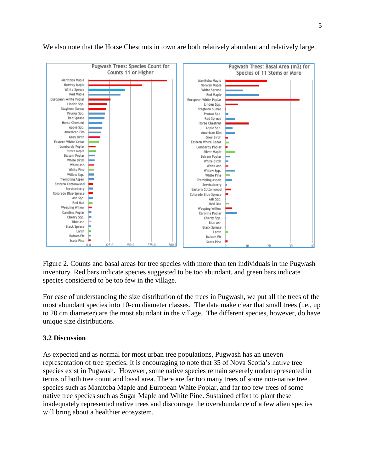

We also note that the Horse Chestnuts in town are both relatively abundant and relatively large.

Figure 2. Counts and basal areas for tree species with more than ten individuals in the Pugwash inventory. Red bars indicate species suggested to be too abundant, and green bars indicate species considered to be too few in the village.

For ease of understanding the size distribution of the trees in Pugwash, we put all the trees of the most abundant species into 10-cm diameter classes. The data make clear that small trees (i.e., up to 20 cm diameter) are the most abundant in the village. The different species, however, do have unique size distributions.

## **3.2 Discussion**

As expected and as normal for most urban tree populations, Pugwash has an uneven representation of tree species. It is encouraging to note that 35 of Nova Scotia's native tree species exist in Pugwash. However, some native species remain severely underrepresented in terms of both tree count and basal area. There are far too many trees of some non-native tree species such as Manitoba Maple and European White Poplar, and far too few trees of some native tree species such as Sugar Maple and White Pine. Sustained effort to plant these inadequately represented native trees and discourage the overabundance of a few alien species will bring about a healthier ecosystem.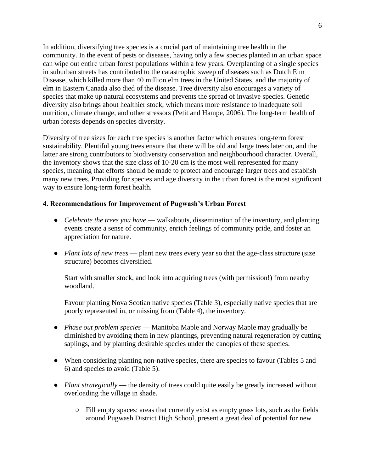In addition, diversifying tree species is a crucial part of maintaining tree health in the community. In the event of pests or diseases, having only a few species planted in an urban space can wipe out entire urban forest populations within a few years. Overplanting of a single species in suburban streets has contributed to the catastrophic sweep of diseases such as Dutch Elm Disease, which killed more than 40 million elm trees in the United States, and the majority of elm in Eastern Canada also died of the disease. Tree diversity also encourages a variety of species that make up natural ecosystems and prevents the spread of invasive species. Genetic diversity also brings about healthier stock, which means more resistance to inadequate soil nutrition, climate change, and other stressors (Petit and Hampe, 2006). The long-term health of urban forests depends on species diversity.

Diversity of tree sizes for each tree species is another factor which ensures long-term forest sustainability. Plentiful young trees ensure that there will be old and large trees later on, and the latter are strong contributors to biodiversity conservation and neighbourhood character. Overall, the inventory shows that the size class of 10-20 cm is the most well represented for many species, meaning that efforts should be made to protect and encourage larger trees and establish many new trees. Providing for species and age diversity in the urban forest is the most significant way to ensure long-term forest health.

## **4. Recommendations for Improvement of Pugwash's Urban Forest**

- *Celebrate the trees you have* walkabouts, dissemination of the inventory, and planting events create a sense of community, enrich feelings of community pride, and foster an appreciation for nature.
- *Plant lots of new trees* plant new trees every year so that the age-class structure (size structure) becomes diversified.

Start with smaller stock, and look into acquiring trees (with permission!) from nearby woodland.

Favour planting Nova Scotian native species (Table 3), especially native species that are poorly represented in, or missing from (Table 4), the inventory.

- *Phase out problem species* Manitoba Maple and Norway Maple may gradually be diminished by avoiding them in new plantings, preventing natural regeneration by cutting saplings, and by planting desirable species under the canopies of these species.
- When considering planting non-native species, there are species to favour (Tables 5 and 6) and species to avoid (Table 5).
- *Plant strategically* the density of trees could quite easily be greatly increased without overloading the village in shade.
	- Fill empty spaces: areas that currently exist as empty grass lots, such as the fields around Pugwash District High School, present a great deal of potential for new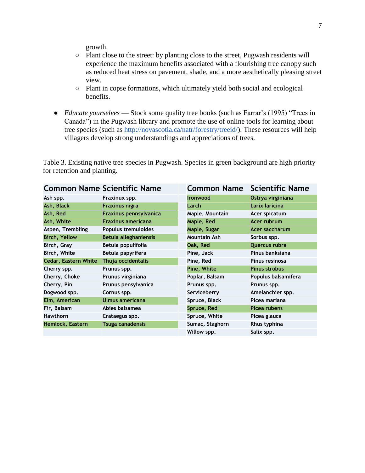growth.

- Plant close to the street: by planting close to the street, Pugwash residents will experience the maximum benefits associated with a flourishing tree canopy such as reduced heat stress on pavement, shade, and a more aesthetically pleasing street view.
- Plant in copse formations, which ultimately yield both social and ecological benefits.
- *Educate yourselves* Stock some quality tree books (such as Farrar's (1995) "Trees in Canada") in the Pugwash library and promote the use of online tools for learning about tree species (such a[s](http://novascotia.ca/natr/forestry/treeid/) [http://novascotia.ca/natr/forestry/treeid/\)](http://novascotia.ca/natr/forestry/treeid/). These resources will help villagers develop strong understandings and appreciations of trees.

Table 3. Existing native tree species in Pugwash. Species in green background are high priority for retention and planting.

|                             | <b>Common Name Scientific Name</b> | <b>Common Name</b> | <b>Scientific Name</b> |
|-----------------------------|------------------------------------|--------------------|------------------------|
| Ash spp.                    | Fraxinux spp.                      | <b>Ironwood</b>    | Ostrya virginiana      |
| Ash, Black                  | <b>Fraxinus nigra</b>              | Larch              | Larix laricina         |
| Ash, Red                    | <b>Fraxinus pennsylvanica</b>      | Maple, Mountain    | Acer spicatum          |
| Ash, White                  | <b>Fraxinus americana</b>          | Maple, Red         | Acer rubrum            |
| Aspen, Trembling            | Populus tremuloides                | Maple, Sugar       | Acer saccharum         |
| <b>Birch, Yellow</b>        | <b>Betula alleghaniensis</b>       | Mountain Ash       | Sorbus spp.            |
| Birch, Gray                 | Betula populifolia                 | Oak, Red           | Quercus rubra          |
| Birch, White                | Betula papyrifera                  | Pine, Jack         | Pinus banksiana        |
| <b>Cedar, Eastern White</b> | Thuja occidentalis                 | Pine, Red          | Pinus resinosa         |
| Cherry spp.                 | Prunus spp.                        | Pine, White        | <b>Pinus strobus</b>   |
| Cherry, Choke               | Prunus virginiana                  | Poplar, Balsam     | Populus balsamifera    |
| Cherry, Pin                 | Prunus pensylvanica                | Prunus spp.        | Prunus spp.            |
| Dogwood spp.                | Cornus spp.                        | Serviceberry       | Amelanchier spp.       |
| Elm, American               | Ulmus americana                    | Spruce, Black      | Picea mariana          |
| Fir, Balsam                 | Abies balsamea                     | Spruce, Red        | Picea rubens           |
| <b>Hawthorn</b>             | Crataegus spp.                     | Spruce, White      | Picea glauca           |
| Hemlock, Eastern            | <b>Tsuga canadensis</b>            | Sumac, Staghorn    | Rhus typhina           |
|                             |                                    | Willow spp.        | Salix spp.             |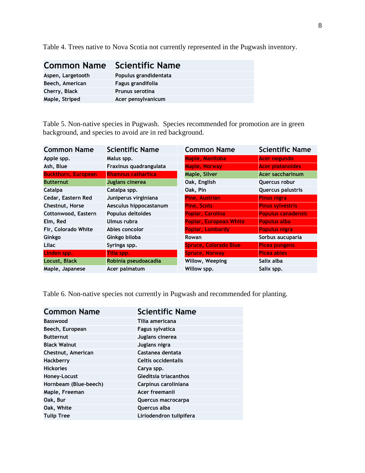Table 4. Trees native to Nova Scotia not currently represented in the Pugwash inventory.

| <b>Common Name</b> Scientific Name |                       |
|------------------------------------|-----------------------|
| Aspen, Largetooth                  | Populus grandidentata |
| Beech, American                    | Fagus grandifolia     |
| Cherry, Black                      | Prunus serotina       |
| Maple, Striped                     | Acer pensylvanicum    |

Table 5. Non-native species in Pugwash. Species recommended for promotion are in green background, and species to avoid are in red background.

| <b>Common Name</b>         | <b>Scientific Name</b>    | <b>Common Name</b>            | <b>Scientific Name</b>    |
|----------------------------|---------------------------|-------------------------------|---------------------------|
| Apple spp.                 | Malus spp.                | Maple, Manitoba               | <b>Acer negundo</b>       |
| Ash, Blue                  | Fraxinus quadrangulata    | Maple, Norway                 | <b>Acer platanoides</b>   |
| <b>Buckthorn, European</b> | <b>Rhamnus cathartica</b> | Maple, Silver                 | <b>Acer saccharinum</b>   |
| <b>Butternut</b>           | Juglans cinerea           | Oak, English                  | Quercus robur             |
| Catalpa                    | Catalpa spp.              | Oak, Pin                      | Quercus palustris         |
| Cedar, Eastern Red         | Juniperus virginiana      | <b>Pine, Austrian</b>         | <b>Pinus nigra</b>        |
| Chestnut, Horse            | Aesculus hippocastanum    | <b>Pine, Scots</b>            | <b>Pinus sylvestris</b>   |
| Cottonwood, Eastern        | Populus deltoides         | Poplar, Carolina              | <b>Populus canadensis</b> |
| Elm, Red                   | Ulmus rubra               | <b>Poplar, European White</b> | <b>Populus alba</b>       |
| Fir, Colorado White        | Abies concolor            | <b>Poplar, Lombardy</b>       | <b>Populus nigra</b>      |
| Ginkgo                     | Ginkgo biloba             | Rowan                         | Sorbus aucuparia          |
| Lilac                      | Syringa spp.              | <b>Spruce, Colorado Blue</b>  | <b>Picea pungens</b>      |
| Linden spp.                | Tilia spp.                | <b>Spruce, Norway</b>         | <b>Picea abies</b>        |
| Locust, Black              | Robinia pseudoacadia      | Willow, Weeping               | Salix alba                |
| Maple, Japanese            | Acer palmatum             | Willow spp.                   | Salix spp.                |

Table 6. Non-native species not currently in Pugwash and recommended for planting.

| <b>Common Name</b>    | <b>Scientific Name</b>  |
|-----------------------|-------------------------|
| <b>Basswood</b>       | Tilia americana         |
| Beech, European       | Fagus sylvatica         |
| <b>Butternut</b>      | Juglans cinerea         |
| <b>Black Walnut</b>   | Juglans nigra           |
| Chestnut, American    | Castanea dentata        |
| <b>Hackberry</b>      | Celtis occidentalis     |
| <b>Hickories</b>      | Carya spp.              |
| Honey-Locust          | Gleditsia triacanthos   |
| Hornbeam (Blue-beech) | Carpinus caroliniana    |
| Maple, Freeman        | Acer freemanii          |
| Oak, Bur              | Quercus macrocarpa      |
| Oak, White            | Quercus alba            |
| <b>Tulip Tree</b>     | Liriodendron tulipifera |